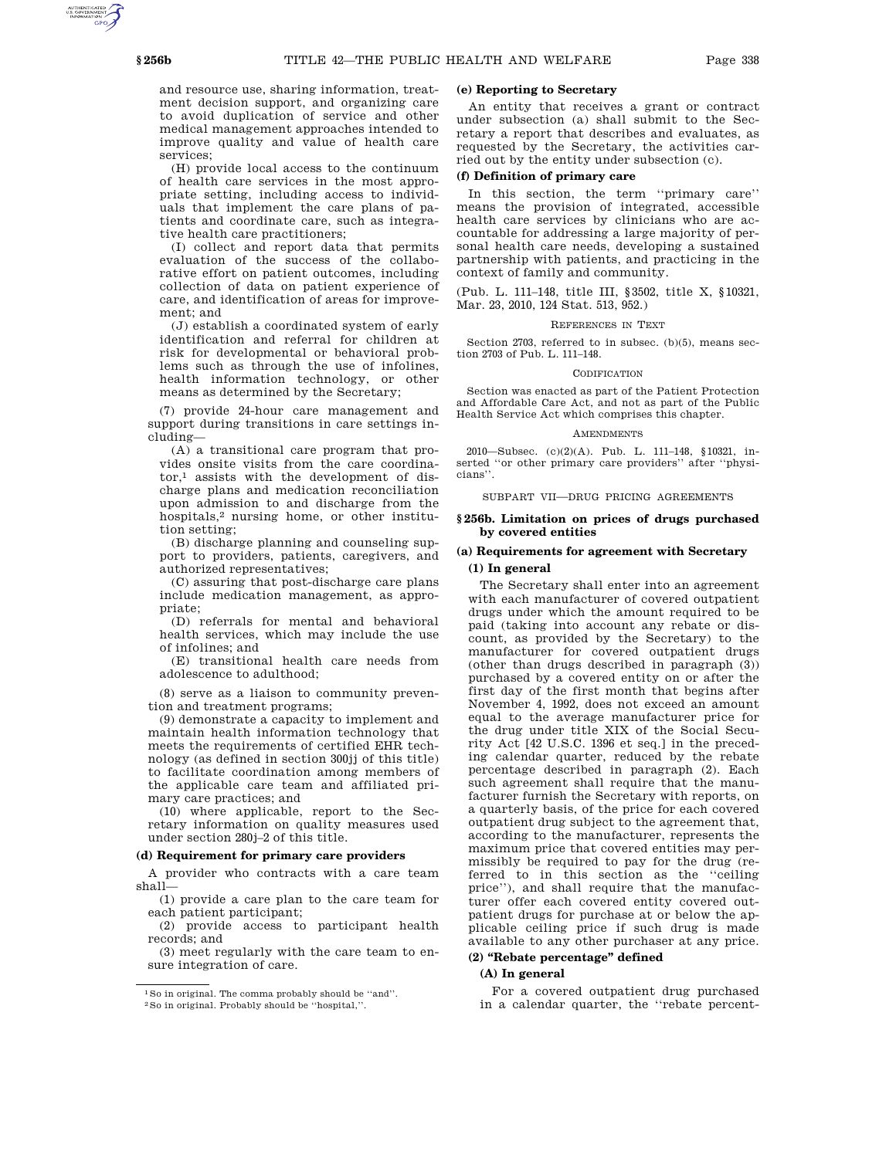and resource use, sharing information, treatment decision support, and organizing care to avoid duplication of service and other medical management approaches intended to improve quality and value of health care services;

(H) provide local access to the continuum of health care services in the most appropriate setting, including access to individuals that implement the care plans of patients and coordinate care, such as integrative health care practitioners;

(I) collect and report data that permits evaluation of the success of the collaborative effort on patient outcomes, including collection of data on patient experience of care, and identification of areas for improvement; and

(J) establish a coordinated system of early identification and referral for children at risk for developmental or behavioral problems such as through the use of infolines, health information technology, or other means as determined by the Secretary;

(7) provide 24-hour care management and support during transitions in care settings including—

(A) a transitional care program that provides onsite visits from the care coordinator,1 assists with the development of discharge plans and medication reconciliation upon admission to and discharge from the hospitals,2 nursing home, or other institution setting;

(B) discharge planning and counseling support to providers, patients, caregivers, and authorized representatives;

(C) assuring that post-discharge care plans include medication management, as appropriate;

(D) referrals for mental and behavioral health services, which may include the use of infolines; and

(E) transitional health care needs from adolescence to adulthood;

(8) serve as a liaison to community prevention and treatment programs;

(9) demonstrate a capacity to implement and maintain health information technology that meets the requirements of certified EHR technology (as defined in section 300jj of this title) to facilitate coordination among members of the applicable care team and affiliated primary care practices; and

(10) where applicable, report to the Secretary information on quality measures used under section 280j–2 of this title.

### **(d) Requirement for primary care providers**

A provider who contracts with a care team shall—

(1) provide a care plan to the care team for each patient participant;

(2) provide access to participant health records; and

(3) meet regularly with the care team to ensure integration of care.

## **(e) Reporting to Secretary**

An entity that receives a grant or contract under subsection (a) shall submit to the Secretary a report that describes and evaluates, as requested by the Secretary, the activities carried out by the entity under subsection (c).

## **(f) Definition of primary care**

In this section, the term ''primary care'' means the provision of integrated, accessible health care services by clinicians who are accountable for addressing a large majority of personal health care needs, developing a sustained partnership with patients, and practicing in the context of family and community.

(Pub. L. 111–148, title III, §3502, title X, §10321, Mar. 23, 2010, 124 Stat. 513, 952.)

#### REFERENCES IN TEXT

Section 2703, referred to in subsec. (b)(5), means section 2703 of Pub. L. 111–148.

#### CODIFICATION

Section was enacted as part of the Patient Protection and Affordable Care Act, and not as part of the Public Health Service Act which comprises this chapter.

#### AMENDMENTS

2010—Subsec. (c)(2)(A). Pub. L. 111–148, §10321, inserted ''or other primary care providers'' after ''physicians''.

SUBPART VII—DRUG PRICING AGREEMENTS

## **§ 256b. Limitation on prices of drugs purchased by covered entities**

# **(a) Requirements for agreement with Secretary (1) In general**

The Secretary shall enter into an agreement with each manufacturer of covered outpatient drugs under which the amount required to be paid (taking into account any rebate or discount, as provided by the Secretary) to the manufacturer for covered outpatient drugs (other than drugs described in paragraph (3)) purchased by a covered entity on or after the first day of the first month that begins after November 4, 1992, does not exceed an amount equal to the average manufacturer price for the drug under title XIX of the Social Security Act [42 U.S.C. 1396 et seq.] in the preceding calendar quarter, reduced by the rebate percentage described in paragraph (2). Each such agreement shall require that the manufacturer furnish the Secretary with reports, on a quarterly basis, of the price for each covered outpatient drug subject to the agreement that, according to the manufacturer, represents the maximum price that covered entities may permissibly be required to pay for the drug (referred to in this section as the ''ceiling price''), and shall require that the manufacturer offer each covered entity covered outpatient drugs for purchase at or below the applicable ceiling price if such drug is made available to any other purchaser at any price.

# **(2) ''Rebate percentage'' defined**

## **(A) In general**

For a covered outpatient drug purchased in a calendar quarter, the ''rebate percent-

<sup>1</sup>So in original. The comma probably should be ''and''.

<sup>2</sup>So in original. Probably should be ''hospital,''.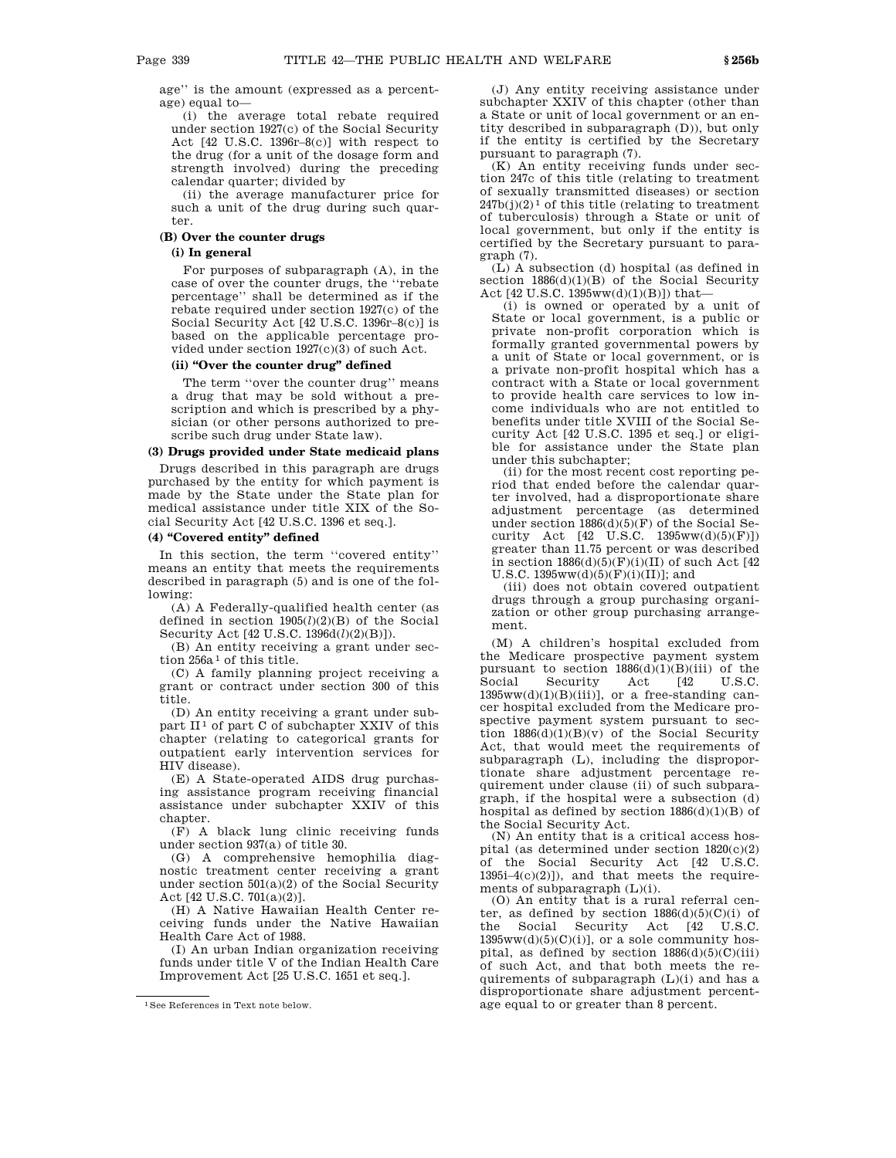age'' is the amount (expressed as a percentage) equal to—

(i) the average total rebate required under section 1927(c) of the Social Security Act [42 U.S.C. 1396r–8(c)] with respect to the drug (for a unit of the dosage form and strength involved) during the preceding calendar quarter; divided by

(ii) the average manufacturer price for such a unit of the drug during such quarter.

# **(B) Over the counter drugs**

# **(i) In general**

For purposes of subparagraph (A), in the case of over the counter drugs, the ''rebate percentage'' shall be determined as if the rebate required under section 1927(c) of the Social Security Act [42 U.S.C. 1396r–8(c)] is based on the applicable percentage provided under section 1927(c)(3) of such Act.

## **(ii) ''Over the counter drug'' defined**

The term ''over the counter drug'' means a drug that may be sold without a prescription and which is prescribed by a physician (or other persons authorized to prescribe such drug under State law).

# **(3) Drugs provided under State medicaid plans**

Drugs described in this paragraph are drugs purchased by the entity for which payment is made by the State under the State plan for medical assistance under title XIX of the Social Security Act [42 U.S.C. 1396 et seq.].

# **(4) ''Covered entity'' defined**

In this section, the term ''covered entity'' means an entity that meets the requirements described in paragraph (5) and is one of the following:

(A) A Federally-qualified health center (as defined in section 1905(*l*)(2)(B) of the Social Security Act [42 U.S.C. 1396d(*l*)(2)(B)]).

(B) An entity receiving a grant under section 256a<sup>1</sup> of this title.

(C) A family planning project receiving a grant or contract under section 300 of this title.

(D) An entity receiving a grant under subpart II<sup>1</sup> of part C of subchapter XXIV of this chapter (relating to categorical grants for outpatient early intervention services for HIV disease).

(E) A State-operated AIDS drug purchasing assistance program receiving financial assistance under subchapter XXIV of this chapter.

(F) A black lung clinic receiving funds under section 937(a) of title 30.

(G) A comprehensive hemophilia diagnostic treatment center receiving a grant under section 501(a)(2) of the Social Security Act [42 U.S.C. 701(a)(2)].

(H) A Native Hawaiian Health Center receiving funds under the Native Hawaiian Health Care Act of 1988.

(I) An urban Indian organization receiving funds under title V of the Indian Health Care Improvement Act [25 U.S.C. 1651 et seq.].

(J) Any entity receiving assistance under subchapter XXIV of this chapter (other than a State or unit of local government or an entity described in subparagraph (D)), but only if the entity is certified by the Secretary pursuant to paragraph (7).

(K) An entity receiving funds under section 247c of this title (relating to treatment of sexually transmitted diseases) or section  $247b(j)(2)^1$  of this title (relating to treatment of tuberculosis) through a State or unit of local government, but only if the entity is certified by the Secretary pursuant to paragraph (7).

(L) A subsection (d) hospital (as defined in section 1886(d)(1)(B) of the Social Security Act [42 U.S.C. 1395ww(d)(1)(B)]) that—

(i) is owned or operated by a unit of State or local government, is a public or private non-profit corporation which is formally granted governmental powers by a unit of State or local government, or is a private non-profit hospital which has a contract with a State or local government to provide health care services to low income individuals who are not entitled to benefits under title XVIII of the Social Security Act [42 U.S.C. 1395 et seq.] or eligible for assistance under the State plan under this subchapter;

(ii) for the most recent cost reporting period that ended before the calendar quarter involved, had a disproportionate share adjustment percentage (as determined under section  $1886(d)(5)(F)$  of the Social Security Act  $[42 \text{ U.S.C. } 1395 \text{ww}(d)(5)(F)]$ greater than 11.75 percent or was described in section  $1886(d)(5)(F)(i)(II)$  of such Act [42] U.S.C.  $1395ww(d)(5)(F)(i)(II)$ ; and

(iii) does not obtain covered outpatient drugs through a group purchasing organization or other group purchasing arrangement.

(M) A children's hospital excluded from the Medicare prospective payment system pursuant to section  $1886(d)(1)(B)(iii)$  of the Social Security Act [42 U.S.C. Social Security Act [42 U.S.C.  $1395ww(d)(1)(B)(iii)$ , or a free-standing cancer hospital excluded from the Medicare prospective payment system pursuant to section  $1886(d)(1)(B)(v)$  of the Social Security Act, that would meet the requirements of subparagraph (L), including the disproportionate share adjustment percentage requirement under clause (ii) of such subparagraph, if the hospital were a subsection (d) hospital as defined by section  $1886(d)(1)(B)$  of the Social Security Act.

(N) An entity that is a critical access hospital (as determined under section 1820(c)(2) of the Social Security Act [42 U.S.C. 1395i–4(c)(2)]), and that meets the requirements of subparagraph (L)(i).

(O) An entity that is a rural referral center, as defined by section  $1886(d)(5)(C)(i)$  of the Social Security Act [42 U.S.C.  $1395ww(d)(5)(C)(i)$ ], or a sole community hospital, as defined by section  $1886(d)(5)(C)(iii)$ of such Act, and that both meets the requirements of subparagraph (L)(i) and has a disproportionate share adjustment percentage equal to or greater than 8 percent.

<sup>1</sup>See References in Text note below.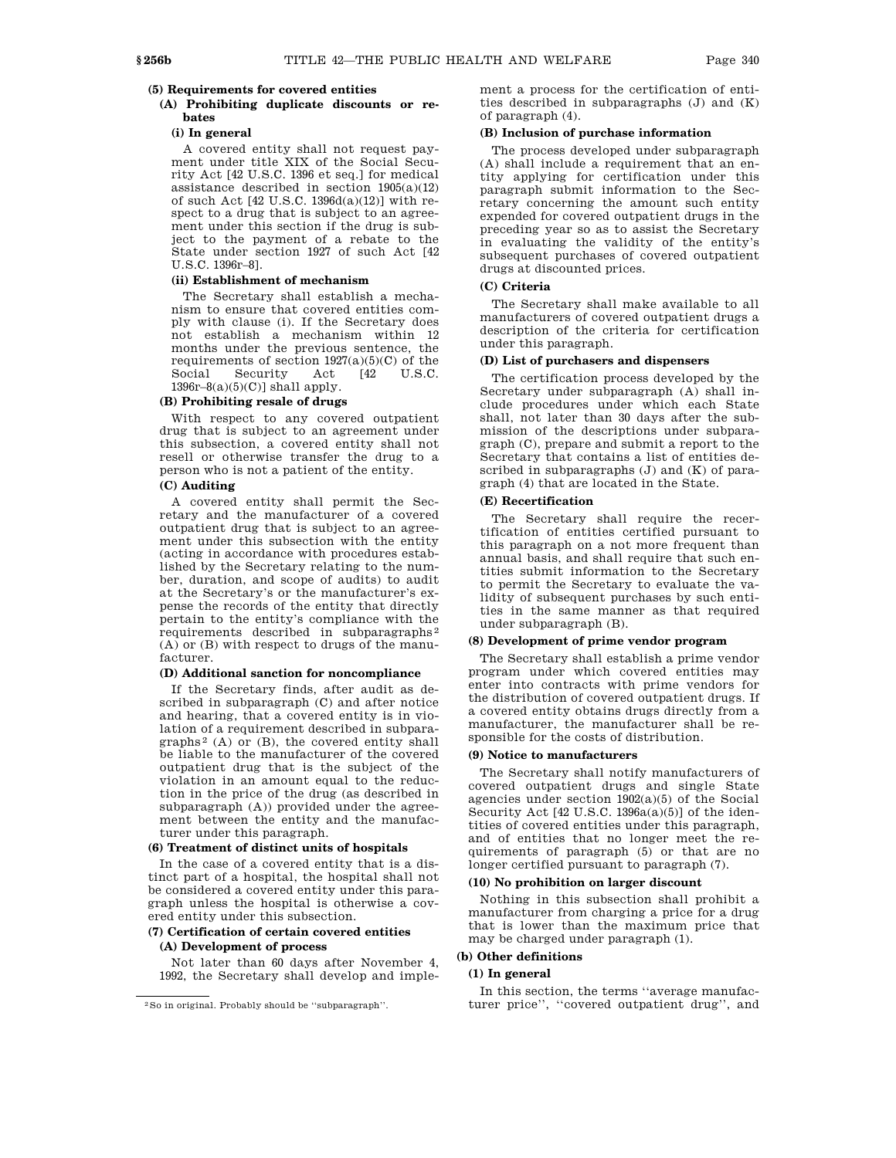# **(5) Requirements for covered entities**

## **(A) Prohibiting duplicate discounts or rebates**

# **(i) In general**

A covered entity shall not request payment under title XIX of the Social Security Act [42 U.S.C. 1396 et seq.] for medical assistance described in section  $1905(a)(12)$ of such Act [42 U.S.C. 1396d(a)(12)] with respect to a drug that is subject to an agreement under this section if the drug is subject to the payment of a rebate to the State under section 1927 of such Act [42 U.S.C. 1396r–8].

## **(ii) Establishment of mechanism**

The Secretary shall establish a mechanism to ensure that covered entities comply with clause (i). If the Secretary does not establish a mechanism within 12 months under the previous sentence, the requirements of section  $1927(a)(5)(C)$  of the Social Security Act [42 U.S.C.  $1396r-8(a)(5)(C)$ ] shall apply.

## **(B) Prohibiting resale of drugs**

With respect to any covered outpatient drug that is subject to an agreement under this subsection, a covered entity shall not resell or otherwise transfer the drug to a person who is not a patient of the entity.

# **(C) Auditing**

A covered entity shall permit the Secretary and the manufacturer of a covered outpatient drug that is subject to an agreement under this subsection with the entity (acting in accordance with procedures established by the Secretary relating to the number, duration, and scope of audits) to audit at the Secretary's or the manufacturer's expense the records of the entity that directly pertain to the entity's compliance with the requirements described in subparagraphs 2 (A) or (B) with respect to drugs of the manufacturer.

### **(D) Additional sanction for noncompliance**

If the Secretary finds, after audit as described in subparagraph (C) and after notice and hearing, that a covered entity is in violation of a requirement described in subpara $graphs<sup>2</sup>$  (A) or (B), the covered entity shall be liable to the manufacturer of the covered outpatient drug that is the subject of the violation in an amount equal to the reduction in the price of the drug (as described in subparagraph (A)) provided under the agreement between the entity and the manufacturer under this paragraph.

### **(6) Treatment of distinct units of hospitals**

In the case of a covered entity that is a distinct part of a hospital, the hospital shall not be considered a covered entity under this paragraph unless the hospital is otherwise a covered entity under this subsection.

# **(7) Certification of certain covered entities (A) Development of process**

Not later than 60 days after November 4, 1992, the Secretary shall develop and implement a process for the certification of entities described in subparagraphs (J) and (K) of paragraph (4).

#### **(B) Inclusion of purchase information**

The process developed under subparagraph (A) shall include a requirement that an entity applying for certification under this paragraph submit information to the Secretary concerning the amount such entity expended for covered outpatient drugs in the preceding year so as to assist the Secretary in evaluating the validity of the entity's subsequent purchases of covered outpatient drugs at discounted prices.

## **(C) Criteria**

The Secretary shall make available to all manufacturers of covered outpatient drugs a description of the criteria for certification under this paragraph.

### **(D) List of purchasers and dispensers**

The certification process developed by the Secretary under subparagraph (A) shall include procedures under which each State shall, not later than 30 days after the submission of the descriptions under subparagraph (C), prepare and submit a report to the Secretary that contains a list of entities described in subparagraphs (J) and (K) of paragraph (4) that are located in the State.

## **(E) Recertification**

The Secretary shall require the recertification of entities certified pursuant to this paragraph on a not more frequent than annual basis, and shall require that such entities submit information to the Secretary to permit the Secretary to evaluate the validity of subsequent purchases by such entities in the same manner as that required under subparagraph (B).

## **(8) Development of prime vendor program**

The Secretary shall establish a prime vendor program under which covered entities may enter into contracts with prime vendors for the distribution of covered outpatient drugs. If a covered entity obtains drugs directly from a manufacturer, the manufacturer shall be responsible for the costs of distribution.

### **(9) Notice to manufacturers**

The Secretary shall notify manufacturers of covered outpatient drugs and single State agencies under section 1902(a)(5) of the Social Security Act  $[42 \text{ U.S.C. } 1396a(a)(5)]$  of the identities of covered entities under this paragraph, and of entities that no longer meet the requirements of paragraph (5) or that are no longer certified pursuant to paragraph (7).

## **(10) No prohibition on larger discount**

Nothing in this subsection shall prohibit a manufacturer from charging a price for a drug that is lower than the maximum price that may be charged under paragraph (1).

# **(b) Other definitions**

## **(1) In general**

In this section, the terms ''average manufacturer price'', ''covered outpatient drug'', and

<sup>2</sup>So in original. Probably should be ''subparagraph''.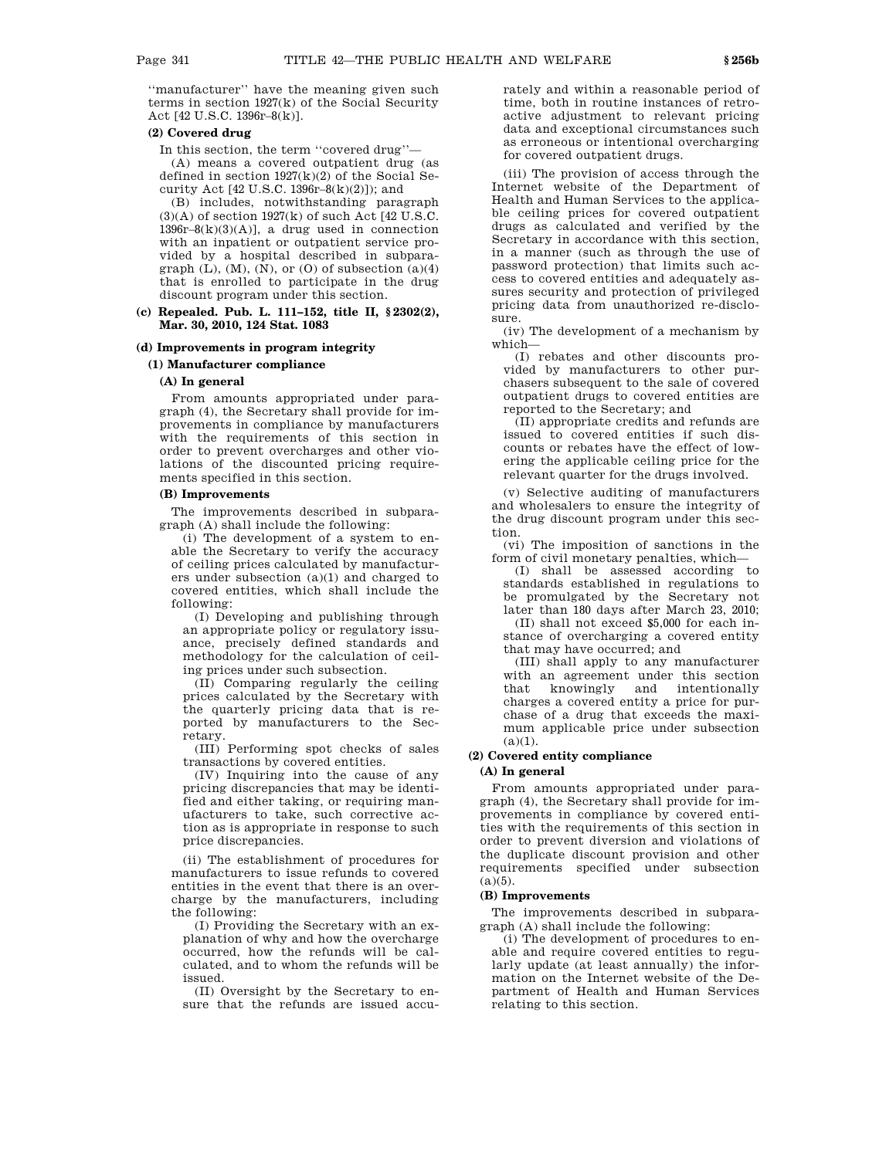''manufacturer'' have the meaning given such terms in section 1927(k) of the Social Security Act [42 U.S.C. 1396r–8(k)].

## **(2) Covered drug**

In this section, the term ''covered drug''— (A) means a covered outpatient drug (as defined in section 1927(k)(2) of the Social Security Act [42 U.S.C. 1396r–8(k)(2)]); and

(B) includes, notwithstanding paragraph  $(3)(A)$  of section 1927 $(k)$  of such Act [42 U.S.C.] 1396r-8(k)(3)(A)], a drug used in connection with an inpatient or outpatient service provided by a hospital described in subparagraph  $(L)$ ,  $(M)$ ,  $(N)$ , or  $(0)$  of subsection  $(a)(4)$ that is enrolled to participate in the drug discount program under this section.

**(c) Repealed. Pub. L. 111–152, title II, § 2302(2), Mar. 30, 2010, 124 Stat. 1083**

## **(d) Improvements in program integrity**

### **(1) Manufacturer compliance**

### **(A) In general**

From amounts appropriated under paragraph (4), the Secretary shall provide for improvements in compliance by manufacturers with the requirements of this section in order to prevent overcharges and other violations of the discounted pricing requirements specified in this section.

## **(B) Improvements**

The improvements described in subparagraph (A) shall include the following:

(i) The development of a system to enable the Secretary to verify the accuracy of ceiling prices calculated by manufacturers under subsection (a)(1) and charged to covered entities, which shall include the following:

(I) Developing and publishing through an appropriate policy or regulatory issuance, precisely defined standards and methodology for the calculation of ceiling prices under such subsection.

(II) Comparing regularly the ceiling prices calculated by the Secretary with the quarterly pricing data that is reported by manufacturers to the Secretary.

(III) Performing spot checks of sales transactions by covered entities.

(IV) Inquiring into the cause of any pricing discrepancies that may be identified and either taking, or requiring manufacturers to take, such corrective action as is appropriate in response to such price discrepancies.

(ii) The establishment of procedures for manufacturers to issue refunds to covered entities in the event that there is an overcharge by the manufacturers, including the following:

(I) Providing the Secretary with an explanation of why and how the overcharge occurred, how the refunds will be calculated, and to whom the refunds will be issued.

(II) Oversight by the Secretary to ensure that the refunds are issued accurately and within a reasonable period of time, both in routine instances of retroactive adjustment to relevant pricing data and exceptional circumstances such as erroneous or intentional overcharging for covered outpatient drugs.

(iii) The provision of access through the Internet website of the Department of Health and Human Services to the applicable ceiling prices for covered outpatient drugs as calculated and verified by the Secretary in accordance with this section, in a manner (such as through the use of password protection) that limits such access to covered entities and adequately assures security and protection of privileged pricing data from unauthorized re-disclosure.

(iv) The development of a mechanism by which—

(I) rebates and other discounts provided by manufacturers to other purchasers subsequent to the sale of covered outpatient drugs to covered entities are reported to the Secretary; and

(II) appropriate credits and refunds are issued to covered entities if such discounts or rebates have the effect of lowering the applicable ceiling price for the relevant quarter for the drugs involved.

(v) Selective auditing of manufacturers and wholesalers to ensure the integrity of the drug discount program under this section.

(vi) The imposition of sanctions in the form of civil monetary penalties, which—

(I) shall be assessed according to standards established in regulations to be promulgated by the Secretary not later than 180 days after March 23, 2010; (II) shall not exceed \$5,000 for each instance of overcharging a covered entity that may have occurred; and

(III) shall apply to any manufacturer with an agreement under this section that knowingly and intentionally charges a covered entity a price for purchase of a drug that exceeds the maximum applicable price under subsection  $(a)(1)$ .

## **(2) Covered entity compliance**

## **(A) In general**

From amounts appropriated under paragraph (4), the Secretary shall provide for improvements in compliance by covered entities with the requirements of this section in order to prevent diversion and violations of the duplicate discount provision and other requirements specified under subsection  $(a)(5)$ .

# **(B) Improvements**

The improvements described in subparagraph (A) shall include the following:

(i) The development of procedures to enable and require covered entities to regularly update (at least annually) the information on the Internet website of the Department of Health and Human Services relating to this section.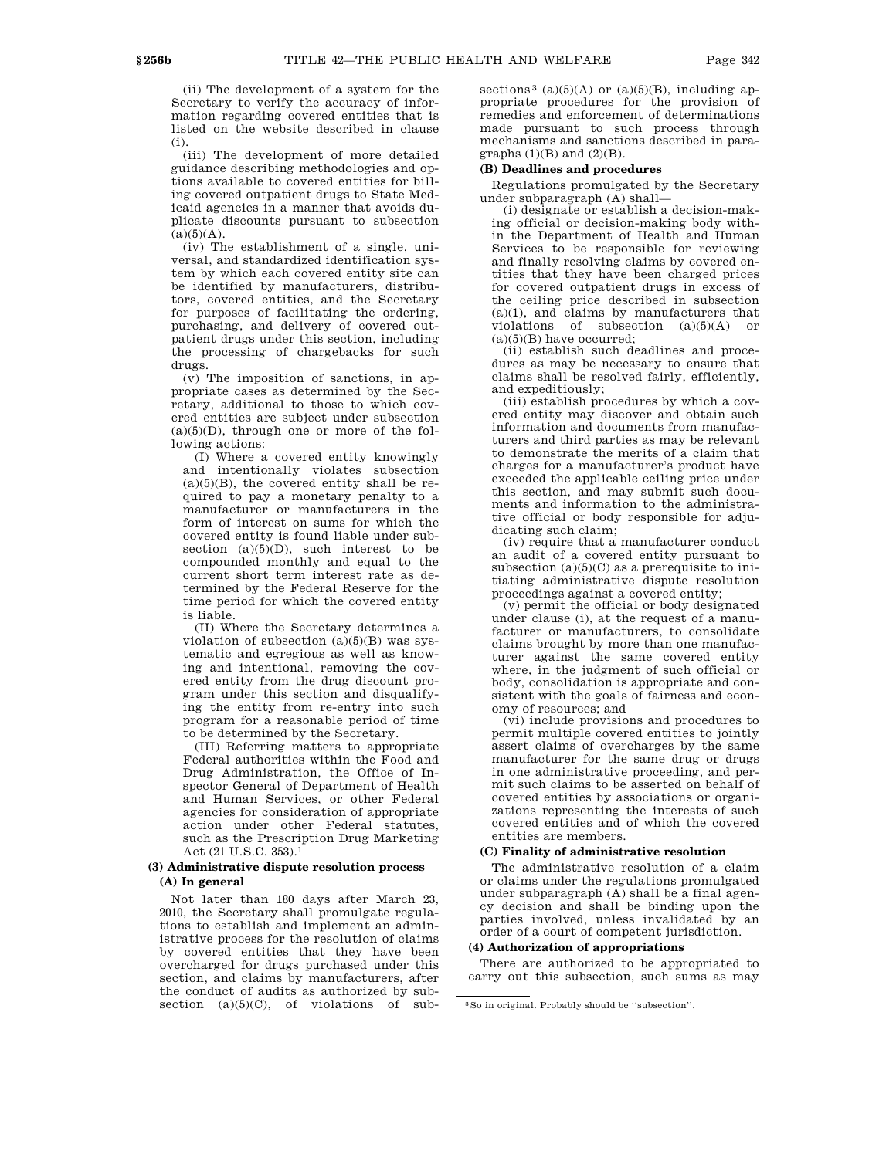(ii) The development of a system for the Secretary to verify the accuracy of information regarding covered entities that is listed on the website described in clause (i).

(iii) The development of more detailed guidance describing methodologies and options available to covered entities for billing covered outpatient drugs to State Medicaid agencies in a manner that avoids duplicate discounts pursuant to subsection  $(a)(5)(A).$ 

(iv) The establishment of a single, universal, and standardized identification system by which each covered entity site can be identified by manufacturers, distributors, covered entities, and the Secretary for purposes of facilitating the ordering, purchasing, and delivery of covered outpatient drugs under this section, including the processing of chargebacks for such drugs.

(v) The imposition of sanctions, in appropriate cases as determined by the Secretary, additional to those to which covered entities are subject under subsection  $(a)(5)(D)$ , through one or more of the following actions:

(I) Where a covered entity knowingly and intentionally violates subsection  $(a)(5)(B)$ , the covered entity shall be required to pay a monetary penalty to a manufacturer or manufacturers in the form of interest on sums for which the covered entity is found liable under subsection  $(a)(5)(D)$ , such interest to be compounded monthly and equal to the current short term interest rate as determined by the Federal Reserve for the time period for which the covered entity is liable.

(II) Where the Secretary determines a violation of subsection  $(a)(5)(B)$  was systematic and egregious as well as knowing and intentional, removing the covered entity from the drug discount program under this section and disqualifying the entity from re-entry into such program for a reasonable period of time to be determined by the Secretary.

(III) Referring matters to appropriate Federal authorities within the Food and Drug Administration, the Office of Inspector General of Department of Health and Human Services, or other Federal agencies for consideration of appropriate action under other Federal statutes, such as the Prescription Drug Marketing Act (21 U.S.C. 353).1

## **(3) Administrative dispute resolution process (A) In general**

Not later than 180 days after March 23, 2010, the Secretary shall promulgate regulations to establish and implement an administrative process for the resolution of claims by covered entities that they have been overcharged for drugs purchased under this section, and claims by manufacturers, after the conduct of audits as authorized by subsection (a)(5)(C), of violations of subsections<sup>3</sup> (a)(5)(A) or (a)(5)(B), including appropriate procedures for the provision of remedies and enforcement of determinations made pursuant to such process through mechanisms and sanctions described in paragraphs  $(1)(B)$  and  $(2)(B)$ .

## **(B) Deadlines and procedures**

Regulations promulgated by the Secretary under subparagraph (A) shall—

(i) designate or establish a decision-making official or decision-making body within the Department of Health and Human Services to be responsible for reviewing and finally resolving claims by covered entities that they have been charged prices for covered outpatient drugs in excess of the ceiling price described in subsection  $(a)(1)$ , and claims by manufacturers that violations of subsection  $(a)(5)(A)$  or  $(a)(5)(B)$  have occurred;

(ii) establish such deadlines and procedures as may be necessary to ensure that claims shall be resolved fairly, efficiently, and expeditiously;

(iii) establish procedures by which a covered entity may discover and obtain such information and documents from manufacturers and third parties as may be relevant to demonstrate the merits of a claim that charges for a manufacturer's product have exceeded the applicable ceiling price under this section, and may submit such documents and information to the administrative official or body responsible for adjudicating such claim;

(iv) require that a manufacturer conduct an audit of a covered entity pursuant to subsection  $(a)(5)(C)$  as a prerequisite to initiating administrative dispute resolution proceedings against a covered entity;

(v) permit the official or body designated under clause (i), at the request of a manufacturer or manufacturers, to consolidate claims brought by more than one manufacturer against the same covered entity where, in the judgment of such official or body, consolidation is appropriate and consistent with the goals of fairness and economy of resources; and

(vi) include provisions and procedures to permit multiple covered entities to jointly assert claims of overcharges by the same manufacturer for the same drug or drugs in one administrative proceeding, and permit such claims to be asserted on behalf of covered entities by associations or organizations representing the interests of such covered entities and of which the covered entities are members.

### **(C) Finality of administrative resolution**

The administrative resolution of a claim or claims under the regulations promulgated under subparagraph (A) shall be a final agency decision and shall be binding upon the parties involved, unless invalidated by an order of a court of competent jurisdiction.

## **(4) Authorization of appropriations**

There are authorized to be appropriated to carry out this subsection, such sums as may

<sup>3</sup>So in original. Probably should be ''subsection''.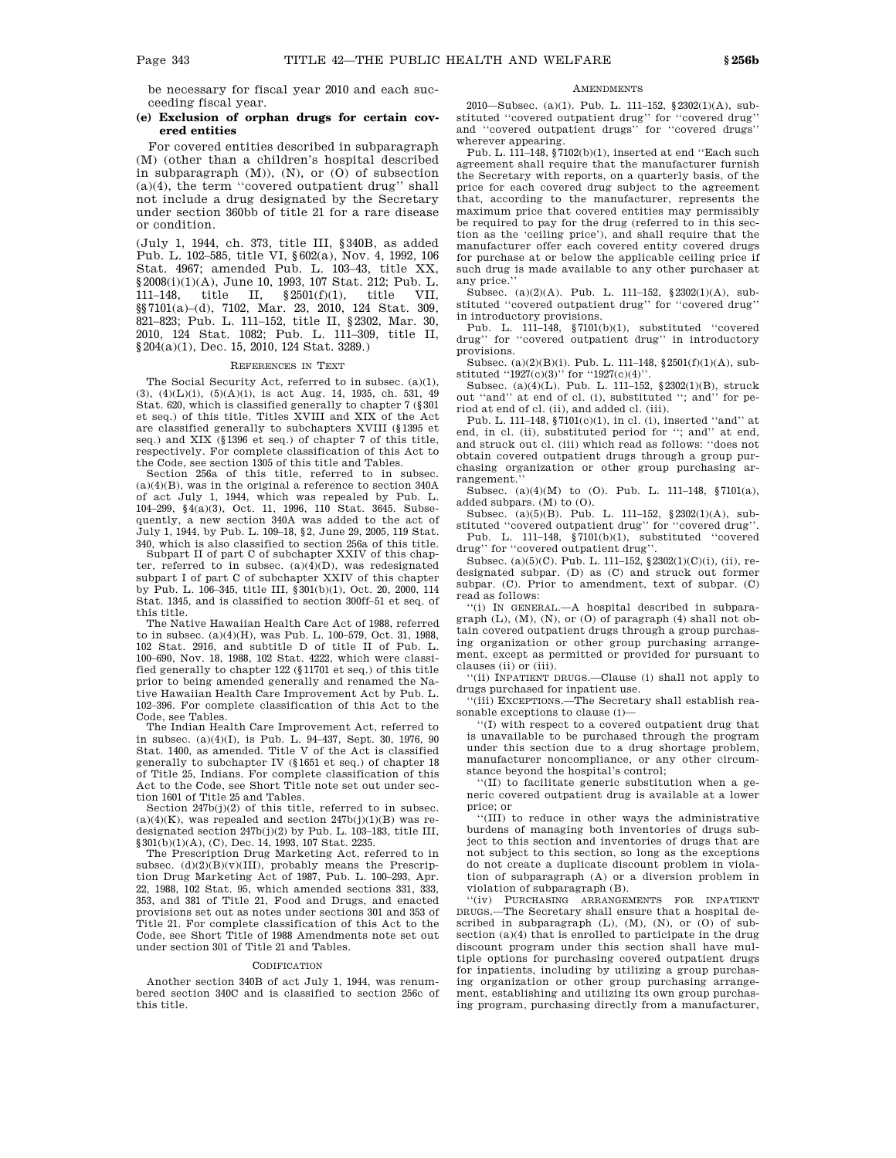be necessary for fiscal year 2010 and each succeeding fiscal year.

## **(e) Exclusion of orphan drugs for certain covered entities**

For covered entities described in subparagraph (M) (other than a children's hospital described in subparagraph  $(M)$ ),  $(N)$ , or  $(O)$  of subsection (a)(4), the term ''covered outpatient drug'' shall not include a drug designated by the Secretary under section 360bb of title 21 for a rare disease or condition.

(July 1, 1944, ch. 373, title III, §340B, as added Pub. L. 102–585, title VI, §602(a), Nov. 4, 1992, 106 Stat. 4967; amended Pub. L. 103–43, title XX, §2008(i)(1)(A), June 10, 1993, 107 Stat. 212; Pub. L. 111–148, title II, §2501(f)(1), title VII, §§7101(a)–(d), 7102, Mar. 23, 2010, 124 Stat. 309, 821–823; Pub. L. 111–152, title II, §2302, Mar. 30, 2010, 124 Stat. 1082; Pub. L. 111–309, title II, §204(a)(1), Dec. 15, 2010, 124 Stat. 3289.)

#### REFERENCES IN TEXT

The Social Security Act, referred to in subsec. (a)(1), (3), (4)(L)(i), (5)(A)(i), is act Aug. 14, 1935, ch. 531, 49 Stat. 620, which is classified generally to chapter 7 (§301 et seq.) of this title. Titles XVIII and XIX of the Act are classified generally to subchapters XVIII (§1395 et seq.) and XIX (§1396 et seq.) of chapter 7 of this title, respectively. For complete classification of this Act to the Code, see section 1305 of this title and Tables.

Section 256a of this title, referred to in subsec.  $(a)(4)(B)$ , was in the original a reference to section 340A of act July 1, 1944, which was repealed by Pub. L. 104–299, §4(a)(3), Oct. 11, 1996, 110 Stat. 3645. Subsequently, a new section 340A was added to the act of July 1, 1944, by Pub. L. 109–18, §2, June 29, 2005, 119 Stat. 340, which is also classified to section 256a of this title.

Subpart II of part C of subchapter XXIV of this chapter, referred to in subsec.  $(a)(4)(D)$ , was redesignated subpart I of part C of subchapter XXIV of this chapter by Pub. L. 106–345, title III, §301(b)(1), Oct. 20, 2000, 114 Stat. 1345, and is classified to section 300ff–51 et seq. of this title.

The Native Hawaiian Health Care Act of 1988, referred to in subsec. (a)(4)(H), was Pub. L. 100–579, Oct. 31, 1988, 102 Stat. 2916, and subtitle D of title II of Pub. L. 100–690, Nov. 18, 1988, 102 Stat. 4222, which were classified generally to chapter 122 (§11701 et seq.) of this title prior to being amended generally and renamed the Native Hawaiian Health Care Improvement Act by Pub. L. 102–396. For complete classification of this Act to the Code, see Tables.

The Indian Health Care Improvement Act, referred to in subsec. (a)(4)(I), is Pub. L. 94–437, Sept. 30, 1976, 90 Stat. 1400, as amended. Title V of the Act is classified generally to subchapter IV (§1651 et seq.) of chapter 18 of Title 25, Indians. For complete classification of this Act to the Code, see Short Title note set out under sec-

tion 1601 of Title 25 and Tables. Section 247b(j)(2) of this title, referred to in subsec.  $(a)(4)(K)$ , was repealed and section  $247b(j)(1)(B)$  was redesignated section 247b(j)(2) by Pub. L. 103–183, title III, §301(b)(1)(A), (C), Dec. 14, 1993, 107 Stat. 2235.

The Prescription Drug Marketing Act, referred to in subsec.  $(d)(2)(B)(v)(III)$ , probably means the Prescription Drug Marketing Act of 1987, Pub. L. 100–293, Apr. 22, 1988, 102 Stat. 95, which amended sections 331, 333, 353, and 381 of Title 21, Food and Drugs, and enacted provisions set out as notes under sections 301 and 353 of Title 21. For complete classification of this Act to the Code, see Short Title of 1988 Amendments note set out under section 301 of Title 21 and Tables.

#### CODIFICATION

Another section 340B of act July 1, 1944, was renumbered section 340C and is classified to section 256c of this title.

#### **AMENDMENTS**

2010—Subsec. (a)(1). Pub. L. 111–152, §2302(1)(A), substituted ''covered outpatient drug'' for ''covered drug'' and ''covered outpatient drugs'' for ''covered drugs'' wherever appearing.

Pub. L. 111–148,  $\frac{8}{7102(b)(1)}$ , inserted at end "Each such agreement shall require that the manufacturer furnish the Secretary with reports, on a quarterly basis, of the price for each covered drug subject to the agreement that, according to the manufacturer, represents the maximum price that covered entities may permissibly be required to pay for the drug (referred to in this section as the 'ceiling price'), and shall require that the manufacturer offer each covered entity covered drugs for purchase at or below the applicable ceiling price if such drug is made available to any other purchaser at any price.''

Subsec. (a)(2)(A). Pub. L. 111–152, §2302(1)(A), substituted ''covered outpatient drug'' for ''covered drug'' in introductory provisions.

Pub. L. 111–148, §7101(b)(1), substituted ''covered drug'' for ''covered outpatient drug'' in introductory provisions.

Subsec. (a)(2)(B)(i). Pub. L. 111–148, §2501(f)(1)(A), substituted "1927(c)(3)" for "1927(c)(4)".

Subsec. (a)(4)(L). Pub. L. 111–152, §2302(1)(B), struck out "and" at end of cl. (i), substituted "; and" for period at end of cl. (ii), and added cl. (iii).

Pub. L. 111–148, §7101(c)(1), in cl. (i), inserted ''and'' at end, in cl. (ii), substituted period for "; and" at end, and struck out cl. (iii) which read as follows: ''does not obtain covered outpatient drugs through a group purchasing organization or other group purchasing arrangement.

Subsec. (a)(4)(M) to (O). Pub. L. 111–148, §7101(a), added subpars. (M) to (O).

Subsec. (a)(5)(B). Pub. L. 111–152,  $\S 2302(1)(A)$ , substituted ''covered outpatient drug'' for ''covered drug''.

Pub. L. 111–148, §7101(b)(1), substituted ''covered drug'' for ''covered outpatient drug''.

Subsec. (a)(5)(C). Pub. L. 111–152, §2302(1)(C)(i), (ii), redesignated subpar. (D) as (C) and struck out former subpar. (C). Prior to amendment, text of subpar. (C) read as follows:

''(i) IN GENERAL.—A hospital described in subparagraph (L), (M), (N), or (O) of paragraph (4) shall not obtain covered outpatient drugs through a group purchasing organization or other group purchasing arrangement, except as permitted or provided for pursuant to clauses (ii) or (iii).

''(ii) INPATIENT DRUGS.—Clause (i) shall not apply to drugs purchased for inpatient use.

''(iii) EXCEPTIONS.—The Secretary shall establish reasonable exceptions to clause (i)—

''(I) with respect to a covered outpatient drug that is unavailable to be purchased through the program under this section due to a drug shortage problem, manufacturer noncompliance, or any other circumstance beyond the hospital's control;

''(II) to facilitate generic substitution when a generic covered outpatient drug is available at a lower price; or

''(III) to reduce in other ways the administrative burdens of managing both inventories of drugs subject to this section and inventories of drugs that are not subject to this section, so long as the exceptions do not create a duplicate discount problem in violation of subparagraph (A) or a diversion problem in violation of subparagraph (B).

''(iv) PURCHASING ARRANGEMENTS FOR INPATIENT DRUGS.—The Secretary shall ensure that a hospital described in subparagraph  $(L)$ ,  $(M)$ ,  $(N)$ , or  $(0)$  of subsection (a)(4) that is enrolled to participate in the drug discount program under this section shall have multiple options for purchasing covered outpatient drugs for inpatients, including by utilizing a group purchasing organization or other group purchasing arrangement, establishing and utilizing its own group purchasing program, purchasing directly from a manufacturer,